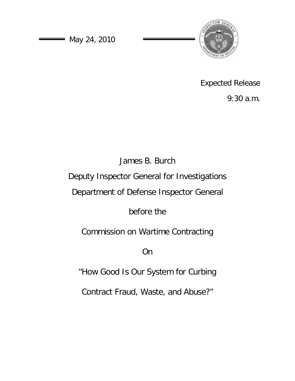May 24, 2010



Expected Release

9:30 a.m.

# James B. Burch

## Deputy Inspector General for Investigations

Department of Defense Inspector General

before the

Commission on Wartime Contracting

**On** 

"How Good Is Our System for Curbing

Contract Fraud, Waste, and Abuse?"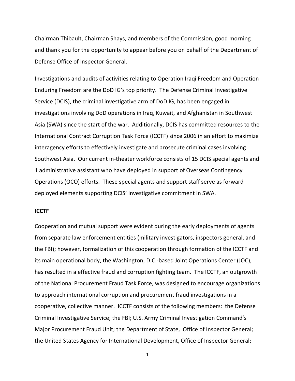Chairman Thibault, Chairman Shays, and members of the Commission, good morning and thank you for the opportunity to appear before you on behalf of the Department of Defense Office of Inspector General.

Investigations and audits of activities relating to Operation Iraqi Freedom and Operation Enduring Freedom are the DoD IG's top priority. The Defense Criminal Investigative Service (DCIS), the criminal investigative arm of DoD IG, has been engaged in investigations involving DoD operations in Iraq, Kuwait, and Afghanistan in Southwest Asia (SWA) since the start of the war. Additionally, DCIS has committed resources to the International Contract Corruption Task Force (ICCTF) since 2006 in an effort to maximize interagency efforts to effectively investigate and prosecute criminal cases involving Southwest Asia. Our current in-theater workforce consists of 15 DCIS special agents and 1 administrative assistant who have deployed in support of Overseas Contingency Operations (OCO) efforts. These special agents and support staff serve as forwarddeployed elements supporting DCIS' investigative commitment in SWA.

#### **ICCTF**

Cooperation and mutual support were evident during the early deployments of agents from separate law enforcement entities (military investigators, inspectors general, and the FBI); however, formalization of this cooperation through formation of the ICCTF and its main operational body, the Washington, D.C.-based Joint Operations Center (JOC), has resulted in a effective fraud and corruption fighting team. The ICCTF, an outgrowth of the National Procurement Fraud Task Force, was designed to encourage organizations to approach international corruption and procurement fraud investigations in a cooperative, collective manner. ICCTF consists of the following members: the Defense Criminal Investigative Service; the FBI; U.S. Army Criminal Investigation Command's Major Procurement Fraud Unit; the Department of State, Office of Inspector General; the United States Agency for International Development, Office of Inspector General;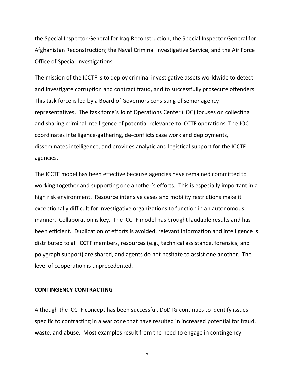the Special Inspector General for Iraq Reconstruction; the Special Inspector General for Afghanistan Reconstruction; the Naval Criminal Investigative Service; and the Air Force Office of Special Investigations.

The mission of the ICCTF is to deploy criminal investigative assets worldwide to detect and investigate corruption and contract fraud, and to successfully prosecute offenders. This task force is led by a Board of Governors consisting of senior agency representatives. The task force's Joint Operations Center (JOC) focuses on collecting and sharing criminal intelligence of potential relevance to ICCTF operations. The JOC coordinates intelligence-gathering, de-conflicts case work and deployments, disseminates intelligence, and provides analytic and logistical support for the ICCTF agencies.

The ICCTF model has been effective because agencies have remained committed to working together and supporting one another's efforts. This is especially important in a high risk environment. Resource intensive cases and mobility restrictions make it exceptionally difficult for investigative organizations to function in an autonomous manner. Collaboration is key. The ICCTF model has brought laudable results and has been efficient. Duplication of efforts is avoided, relevant information and intelligence is distributed to all ICCTF members, resources (e.g., technical assistance, forensics, and polygraph support) are shared, and agents do not hesitate to assist one another. The level of cooperation is unprecedented.

### **CONTINGENCY CONTRACTING**

Although the ICCTF concept has been successful, DoD IG continues to identify issues specific to contracting in a war zone that have resulted in increased potential for fraud, waste, and abuse. Most examples result from the need to engage in contingency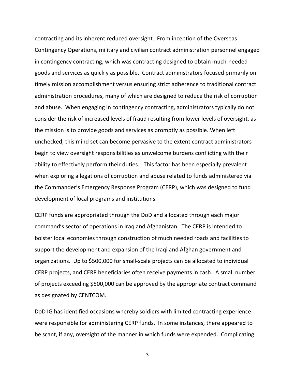contracting and its inherent reduced oversight. From inception of the Overseas Contingency Operations, military and civilian contract administration personnel engaged in contingency contracting, which was contracting designed to obtain much-needed goods and services as quickly as possible. Contract administrators focused primarily on timely mission accomplishment versus ensuring strict adherence to traditional contract administration procedures, many of which are designed to reduce the risk of corruption and abuse. When engaging in contingency contracting, administrators typically do not consider the risk of increased levels of fraud resulting from lower levels of oversight, as the mission is to provide goods and services as promptly as possible. When left unchecked, this mind set can become pervasive to the extent contract administrators begin to view oversight responsibilities as unwelcome burdens conflicting with their ability to effectively perform their duties. This factor has been especially prevalent when exploring allegations of corruption and abuse related to funds administered via the Commander's Emergency Response Program (CERP), which was designed to fund development of local programs and institutions.

CERP funds are appropriated through the DoD and allocated through each major command's sector of operations in Iraq and Afghanistan. The CERP is intended to bolster local economies through construction of much needed roads and facilities to support the development and expansion of the Iraqi and Afghan government and organizations. Up to \$500,000 for small-scale projects can be allocated to individual CERP projects, and CERP beneficiaries often receive payments in cash. A small number of projects exceeding \$500,000 can be approved by the appropriate contract command as designated by CENTCOM.

DoD IG has identified occasions whereby soldiers with limited contracting experience were responsible for administering CERP funds. In some instances, there appeared to be scant, if any, oversight of the manner in which funds were expended. Complicating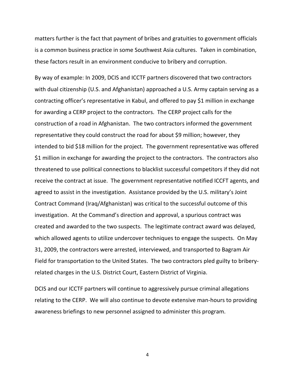matters further is the fact that payment of bribes and gratuities to government officials is a common business practice in some Southwest Asia cultures. Taken in combination, these factors result in an environment conducive to bribery and corruption.

By way of example: In 2009, DCIS and ICCTF partners discovered that two contractors with dual citizenship (U.S. and Afghanistan) approached a U.S. Army captain serving as a contracting officer's representative in Kabul, and offered to pay \$1 million in exchange for awarding a CERP project to the contractors. The CERP project calls for the construction of a road in Afghanistan. The two contractors informed the government representative they could construct the road for about \$9 million; however, they intended to bid \$18 million for the project. The government representative was offered \$1 million in exchange for awarding the project to the contractors. The contractors also threatened to use political connections to blacklist successful competitors if they did not receive the contract at issue. The government representative notified ICCFT agents, and agreed to assist in the investigation. Assistance provided by the U.S. military's Joint Contract Command (Iraq/Afghanistan) was critical to the successful outcome of this investigation. At the Command's direction and approval, a spurious contract was created and awarded to the two suspects. The legitimate contract award was delayed, which allowed agents to utilize undercover techniques to engage the suspects. On May 31, 2009, the contractors were arrested, interviewed, and transported to Bagram Air Field for transportation to the United States. The two contractors pled guilty to briberyrelated charges in the U.S. District Court, Eastern District of Virginia.

DCIS and our ICCTF partners will continue to aggressively pursue criminal allegations relating to the CERP. We will also continue to devote extensive man-hours to providing awareness briefings to new personnel assigned to administer this program.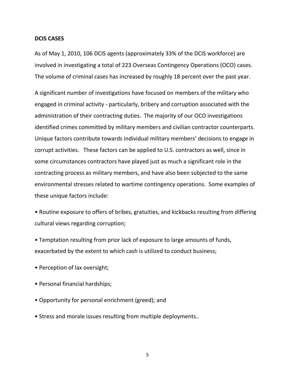#### **DCIS CASES**

As of May 1, 2010, 106 DCIS agents (approximately 33% of the DCIS workforce) are involved in investigating a total of 223 Overseas Contingency Operations (OCO) cases. The volume of criminal cases has increased by roughly 18 percent over the past year.

A significant number of investigations have focused on members of the military who engaged in criminal activity - particularly, bribery and corruption associated with the administration of their contracting duties. The majority of our OCO investigations identified crimes committed by military members and civilian contractor counterparts. Unique factors contribute towards individual military members' decisions to engage in corrupt activities. These factors can be applied to U.S. contractors as well, since in some circumstances contractors have played just as much a significant role in the contracting process as military members, and have also been subjected to the same environmental stresses related to wartime contingency operations. Some examples of these unique factors include:

• Routine exposure to offers of bribes, gratuities, and kickbacks resulting from differing cultural views regarding corruption;

• Temptation resulting from prior lack of exposure to large amounts of funds, exacerbated by the extent to which cash is utilized to conduct business;

- Perception of lax oversight;
- Personal financial hardships;
- Opportunity for personal enrichment (greed); and
- Stress and morale issues resulting from multiple deployments..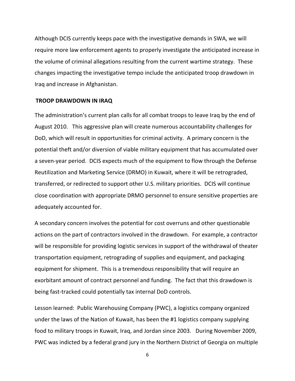Although DCIS currently keeps pace with the investigative demands in SWA, we will require more law enforcement agents to properly investigate the anticipated increase in the volume of criminal allegations resulting from the current wartime strategy. These changes impacting the investigative tempo include the anticipated troop drawdown in Iraq and increase in Afghanistan.

#### **TROOP DRAWDOWN IN IRAQ**

The administration's current plan calls for all combat troops to leave Iraq by the end of August 2010. This aggressive plan will create numerous accountability challenges for DoD, which will result in opportunities for criminal activity. A primary concern is the potential theft and/or diversion of viable military equipment that has accumulated over a seven-year period. DCIS expects much of the equipment to flow through the Defense Reutilization and Marketing Service (DRMO) in Kuwait, where it will be retrograded, transferred, or redirected to support other U.S. military priorities. DCIS will continue close coordination with appropriate DRMO personnel to ensure sensitive properties are adequately accounted for.

A secondary concern involves the potential for cost overruns and other questionable actions on the part of contractors involved in the drawdown. For example, a contractor will be responsible for providing logistic services in support of the withdrawal of theater transportation equipment, retrograding of supplies and equipment, and packaging equipment for shipment. This is a tremendous responsibility that will require an exorbitant amount of contract personnel and funding. The fact that this drawdown is being fast-tracked could potentially tax internal DoD controls.

Lesson learned: Public Warehousing Company (PWC), a logistics company organized under the laws of the Nation of Kuwait, has been the #1 logistics company supplying food to military troops in Kuwait, Iraq, and Jordan since 2003. During November 2009, PWC was indicted by a federal grand jury in the Northern District of Georgia on multiple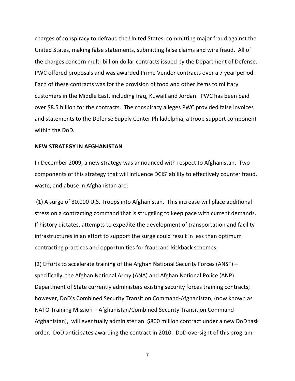charges of conspiracy to defraud the United States, committing major fraud against the United States, making false statements, submitting false claims and wire fraud. All of the charges concern multi-billion dollar contracts issued by the Department of Defense. PWC offered proposals and was awarded Prime Vendor contracts over a 7 year period. Each of these contracts was for the provision of food and other items to military customers in the Middle East, including Iraq, Kuwait and Jordan. PWC has been paid over \$8.5 billion for the contracts. The conspiracy alleges PWC provided false invoices and statements to the Defense Supply Center Philadelphia, a troop support component within the DoD.

#### **NEW STRATEGY IN AFGHANISTAN**

In December 2009, a new strategy was announced with respect to Afghanistan. Two components of this strategy that will influence DCIS' ability to effectively counter fraud, waste, and abuse in Afghanistan are:

(1) A surge of 30,000 U.S. Troops into Afghanistan. This increase will place additional stress on a contracting command that is struggling to keep pace with current demands. If history dictates, attempts to expedite the development of transportation and facility infrastructures in an effort to support the surge could result in less than optimum contracting practices and opportunities for fraud and kickback schemes;

(2) Efforts to accelerate training of the Afghan National Security Forces (ANSF) – specifically, the Afghan National Army (ANA) and Afghan National Police (ANP). Department of State currently administers existing security forces training contracts; however, DoD's Combined Security Transition Command-Afghanistan, (now known as NATO Training Mission – Afghanistan/Combined Security Transition Command-Afghanistan), will eventually administer an \$800 million contract under a new DoD task order. DoD anticipates awarding the contract in 2010. DoD oversight of this program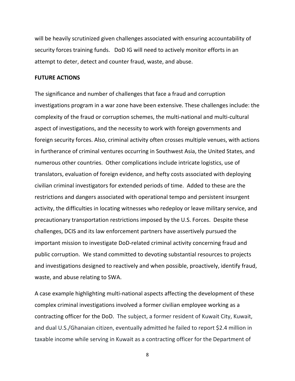will be heavily scrutinized given challenges associated with ensuring accountability of security forces training funds. DoD IG will need to actively monitor efforts in an attempt to deter, detect and counter fraud, waste, and abuse.

#### **FUTURE ACTIONS**

The significance and number of challenges that face a fraud and corruption investigations program in a war zone have been extensive. These challenges include: the complexity of the fraud or corruption schemes, the multi-national and multi-cultural aspect of investigations, and the necessity to work with foreign governments and foreign security forces. Also, criminal activity often crosses multiple venues, with actions in furtherance of criminal ventures occurring in Southwest Asia, the United States, and numerous other countries. Other complications include intricate logistics, use of translators, evaluation of foreign evidence, and hefty costs associated with deploying civilian criminal investigators for extended periods of time. Added to these are the restrictions and dangers associated with operational tempo and persistent insurgent activity, the difficulties in locating witnesses who redeploy or leave military service, and precautionary transportation restrictions imposed by the U.S. Forces. Despite these challenges, DCIS and its law enforcement partners have assertively pursued the important mission to investigate DoD-related criminal activity concerning fraud and public corruption. We stand committed to devoting substantial resources to projects and investigations designed to reactively and when possible, proactively, identify fraud, waste, and abuse relating to SWA.

A case example highlighting multi-national aspects affecting the development of these complex criminal investigations involved a former civilian employee working as a contracting officer for the DoD. The subject, a former resident of Kuwait City, Kuwait, and dual U.S./Ghanaian citizen, eventually admitted he failed to report \$2.4 million in taxable income while serving in Kuwait as a contracting officer for the Department of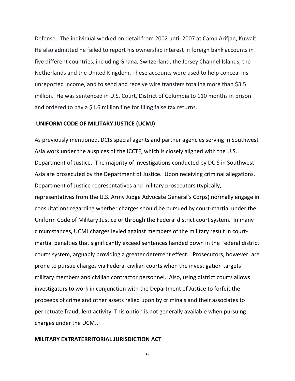Defense. The individual worked on detail from 2002 until 2007 at Camp Arifjan, Kuwait. He also admitted he failed to report his ownership interest in foreign bank accounts in five different countries, including Ghana, Switzerland, the Jersey Channel Islands, the Netherlands and the United Kingdom. These accounts were used to help conceal his unreported income, and to send and receive wire transfers totaling more than \$3.5 million. He was sentenced in U.S. Court, District of Columbia to 110 months in prison and ordered to pay a \$1.6 million fine for filing false tax returns.

#### **UNIFORM CODE OF MILITARY JUSTICE (UCMJ)**

As previously mentioned, DCIS special agents and partner agencies serving in Southwest Asia work under the auspices of the ICCTF, which is closely aligned with the U.S. Department of Justice. The majority of investigations conducted by DCIS in Southwest Asia are prosecuted by the Department of Justice. Upon receiving criminal allegations, Department of Justice representatives and military prosecutors (typically, representatives from the U.S. Army Judge Advocate General's Corps) normally engage in consultations regarding whether charges should be pursued by court-martial under the Uniform Code of Military Justice or through the Federal district court system. In many circumstances, UCMJ charges levied against members of the military result in courtmartial penalties that significantly exceed sentences handed down in the Federal district courts system, arguably providing a greater deterrent effect. Prosecutors, however, are prone to pursue charges via Federal civilian courts when the investigation targets military members and civilian contractor personnel. Also, using district courts allows investigators to work in conjunction with the Department of Justice to forfeit the proceeds of crime and other assets relied upon by criminals and their associates to perpetuate fraudulent activity. This option is not generally available when pursuing charges under the UCMJ.

#### **MILITARY EXTRATERRITORIAL JURISDICTION ACT**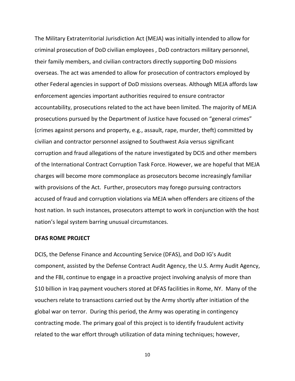The Military Extraterritorial Jurisdiction Act (MEJA) was initially intended to allow for criminal prosecution of DoD civilian employees , DoD contractors military personnel, their family members, and civilian contractors directly supporting DoD missions overseas. The act was amended to allow for prosecution of contractors employed by other Federal agencies in support of DoD missions overseas. Although MEJA affords law enforcement agencies important authorities required to ensure contractor accountability, prosecutions related to the act have been limited. The majority of MEJA prosecutions pursued by the Department of Justice have focused on "general crimes" (crimes against persons and property, e.g., assault, rape, murder, theft) committed by civilian and contractor personnel assigned to Southwest Asia versus significant corruption and fraud allegations of the nature investigated by DCIS and other members of the International Contract Corruption Task Force. However, we are hopeful that MEJA charges will become more commonplace as prosecutors become increasingly familiar with provisions of the Act. Further, prosecutors may forego pursuing contractors accused of fraud and corruption violations via MEJA when offenders are citizens of the host nation. In such instances, prosecutors attempt to work in conjunction with the host nation's legal system barring unusual circumstances.

### **DFAS ROME PROJECT**

DCIS, the Defense Finance and Accounting Service (DFAS), and DoD IG's Audit component, assisted by the Defense Contract Audit Agency, the U.S. Army Audit Agency, and the FBI, continue to engage in a proactive project involving analysis of more than \$10 billion in Iraq payment vouchers stored at DFAS facilities in Rome, NY. Many of the vouchers relate to transactions carried out by the Army shortly after initiation of the global war on terror. During this period, the Army was operating in contingency contracting mode. The primary goal of this project is to identify fraudulent activity related to the war effort through utilization of data mining techniques; however,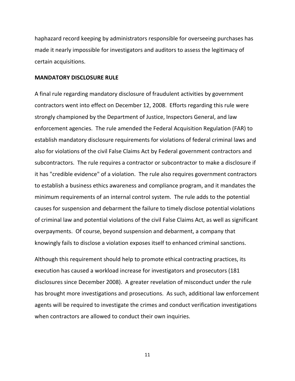haphazard record keeping by administrators responsible for overseeing purchases has made it nearly impossible for investigators and auditors to assess the legitimacy of certain acquisitions.

#### **MANDATORY DISCLOSURE RULE**

A final rule regarding mandatory disclosure of fraudulent activities by government contractors went into effect on December 12, 2008. Efforts regarding this rule were strongly championed by the Department of Justice, Inspectors General, and law enforcement agencies. The rule amended the Federal Acquisition Regulation (FAR) to establish mandatory disclosure requirements for violations of federal criminal laws and also for violations of the civil False Claims Act by Federal government contractors and subcontractors. The rule requires a contractor or subcontractor to make a disclosure if it has "credible evidence" of a violation. The rule also requires government contractors to establish a business ethics awareness and compliance program, and it mandates the minimum requirements of an internal control system. The rule adds to the potential causes for suspension and debarment the failure to timely disclose potential violations of criminal law and potential violations of the civil False Claims Act, as well as significant overpayments. Of course, beyond suspension and debarment, a company that knowingly fails to disclose a violation exposes itself to enhanced criminal sanctions.

Although this requirement should help to promote ethical contracting practices, its execution has caused a workload increase for investigators and prosecutors (181 disclosures since December 2008). A greater revelation of misconduct under the rule has brought more investigations and prosecutions. As such, additional law enforcement agents will be required to investigate the crimes and conduct verification investigations when contractors are allowed to conduct their own inquiries.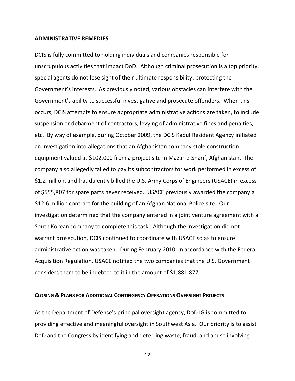#### **ADMINISTRATIVE REMEDIES**

DCIS is fully committed to holding individuals and companies responsible for unscrupulous activities that impact DoD. Although criminal prosecution is a top priority, special agents do not lose sight of their ultimate responsibility: protecting the Government's interests. As previously noted, various obstacles can interfere with the Government's ability to successful investigative and prosecute offenders. When this occurs, DCIS attempts to ensure appropriate administrative actions are taken, to include suspension or debarment of contractors, levying of administrative fines and penalties, etc. By way of example, during October 2009, the DCIS Kabul Resident Agency initiated an investigation into allegations that an Afghanistan company stole construction equipment valued at \$102,000 from a project site in Mazar-e-Sharif, Afghanistan. The company also allegedly failed to pay its subcontractors for work performed in excess of \$1.2 million, and fraudulently billed the U.S. Army Corps of Engineers (USACE) in excess of \$555,807 for spare parts never received. USACE previously awarded the company a \$12.6 million contract for the building of an Afghan National Police site. Our investigation determined that the company entered in a joint venture agreement with a South Korean company to complete this task. Although the investigation did not warrant prosecution, DCIS continued to coordinate with USACE so as to ensure administrative action was taken. During February 2010, in accordance with the Federal Acquisition Regulation, USACE notified the two companies that the U.S. Government considers them to be indebted to it in the amount of \$1,881,877.

#### **CLOSING & PLANS FOR ADDITIONAL CONTINGENCY OPERATIONS OVERSIGHT PROJECTS**

As the Department of Defense's principal oversight agency, DoD IG is committed to providing effective and meaningful oversight in Southwest Asia. Our priority is to assist DoD and the Congress by identifying and deterring waste, fraud, and abuse involving